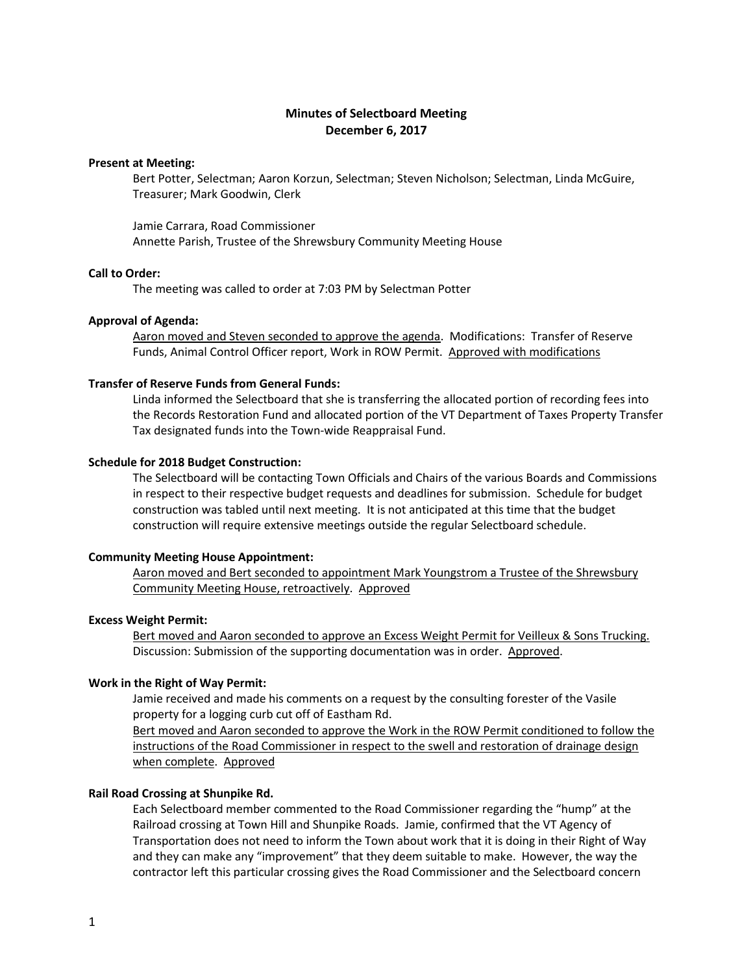# **Minutes of Selectboard Meeting December 6, 2017**

# **Present at Meeting:**

Bert Potter, Selectman; Aaron Korzun, Selectman; Steven Nicholson; Selectman, Linda McGuire, Treasurer; Mark Goodwin, Clerk

Jamie Carrara, Road Commissioner Annette Parish, Trustee of the Shrewsbury Community Meeting House

# **Call to Order:**

The meeting was called to order at 7:03 PM by Selectman Potter

### **Approval of Agenda:**

Aaron moved and Steven seconded to approve the agenda. Modifications: Transfer of Reserve Funds, Animal Control Officer report, Work in ROW Permit. Approved with modifications

### **Transfer of Reserve Funds from General Funds:**

Linda informed the Selectboard that she is transferring the allocated portion of recording fees into the Records Restoration Fund and allocated portion of the VT Department of Taxes Property Transfer Tax designated funds into the Town-wide Reappraisal Fund.

### **Schedule for 2018 Budget Construction:**

The Selectboard will be contacting Town Officials and Chairs of the various Boards and Commissions in respect to their respective budget requests and deadlines for submission. Schedule for budget construction was tabled until next meeting. It is not anticipated at this time that the budget construction will require extensive meetings outside the regular Selectboard schedule.

# **Community Meeting House Appointment:**

Aaron moved and Bert seconded to appointment Mark Youngstrom a Trustee of the Shrewsbury Community Meeting House, retroactively. Approved

#### **Excess Weight Permit:**

Bert moved and Aaron seconded to approve an Excess Weight Permit for Veilleux & Sons Trucking. Discussion: Submission of the supporting documentation was in order. Approved.

# **Work in the Right of Way Permit:**

Jamie received and made his comments on a request by the consulting forester of the Vasile property for a logging curb cut off of Eastham Rd.

Bert moved and Aaron seconded to approve the Work in the ROW Permit conditioned to follow the instructions of the Road Commissioner in respect to the swell and restoration of drainage design when complete. Approved

# **Rail Road Crossing at Shunpike Rd.**

Each Selectboard member commented to the Road Commissioner regarding the "hump" at the Railroad crossing at Town Hill and Shunpike Roads. Jamie, confirmed that the VT Agency of Transportation does not need to inform the Town about work that it is doing in their Right of Way and they can make any "improvement" that they deem suitable to make. However, the way the contractor left this particular crossing gives the Road Commissioner and the Selectboard concern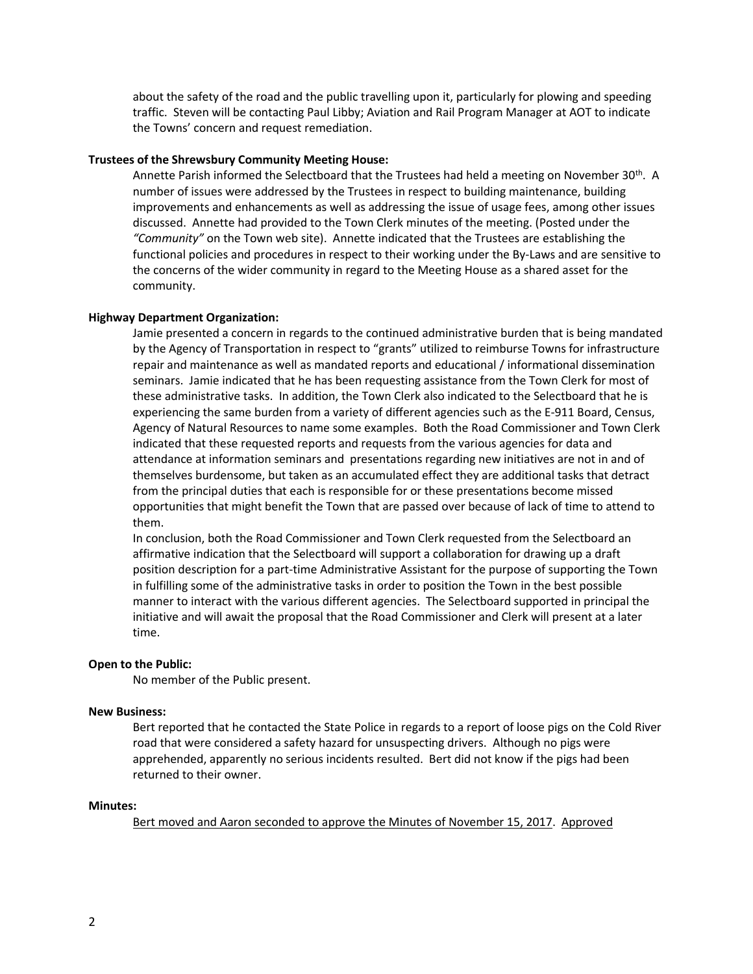about the safety of the road and the public travelling upon it, particularly for plowing and speeding traffic. Steven will be contacting Paul Libby; Aviation and Rail Program Manager at AOT to indicate the Towns' concern and request remediation.

#### **Trustees of the Shrewsbury Community Meeting House:**

Annette Parish informed the Selectboard that the Trustees had held a meeting on November 30th. A number of issues were addressed by the Trustees in respect to building maintenance, building improvements and enhancements as well as addressing the issue of usage fees, among other issues discussed. Annette had provided to the Town Clerk minutes of the meeting. (Posted under the *"Community"* on the Town web site). Annette indicated that the Trustees are establishing the functional policies and procedures in respect to their working under the By-Laws and are sensitive to the concerns of the wider community in regard to the Meeting House as a shared asset for the community.

# **Highway Department Organization:**

Jamie presented a concern in regards to the continued administrative burden that is being mandated by the Agency of Transportation in respect to "grants" utilized to reimburse Towns for infrastructure repair and maintenance as well as mandated reports and educational / informational dissemination seminars. Jamie indicated that he has been requesting assistance from the Town Clerk for most of these administrative tasks. In addition, the Town Clerk also indicated to the Selectboard that he is experiencing the same burden from a variety of different agencies such as the E-911 Board, Census, Agency of Natural Resources to name some examples. Both the Road Commissioner and Town Clerk indicated that these requested reports and requests from the various agencies for data and attendance at information seminars and presentations regarding new initiatives are not in and of themselves burdensome, but taken as an accumulated effect they are additional tasks that detract from the principal duties that each is responsible for or these presentations become missed opportunities that might benefit the Town that are passed over because of lack of time to attend to them.

In conclusion, both the Road Commissioner and Town Clerk requested from the Selectboard an affirmative indication that the Selectboard will support a collaboration for drawing up a draft position description for a part-time Administrative Assistant for the purpose of supporting the Town in fulfilling some of the administrative tasks in order to position the Town in the best possible manner to interact with the various different agencies. The Selectboard supported in principal the initiative and will await the proposal that the Road Commissioner and Clerk will present at a later time.

#### **Open to the Public:**

No member of the Public present.

# **New Business:**

Bert reported that he contacted the State Police in regards to a report of loose pigs on the Cold River road that were considered a safety hazard for unsuspecting drivers. Although no pigs were apprehended, apparently no serious incidents resulted. Bert did not know if the pigs had been returned to their owner.

# **Minutes:**

Bert moved and Aaron seconded to approve the Minutes of November 15, 2017. Approved